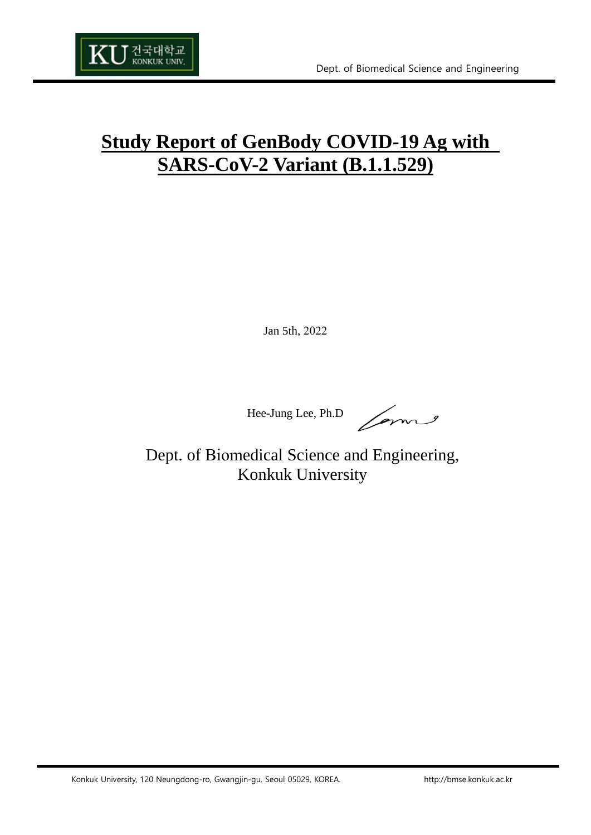

# **Study Report of GenBody COVID-19 Ag with SARS-CoV-2 Variant (B.1.1.529)**

Jan 5th, 2022

Hee-Jung Lee, Ph.D

Dept. of Biomedical Science and Engineering, Konkuk University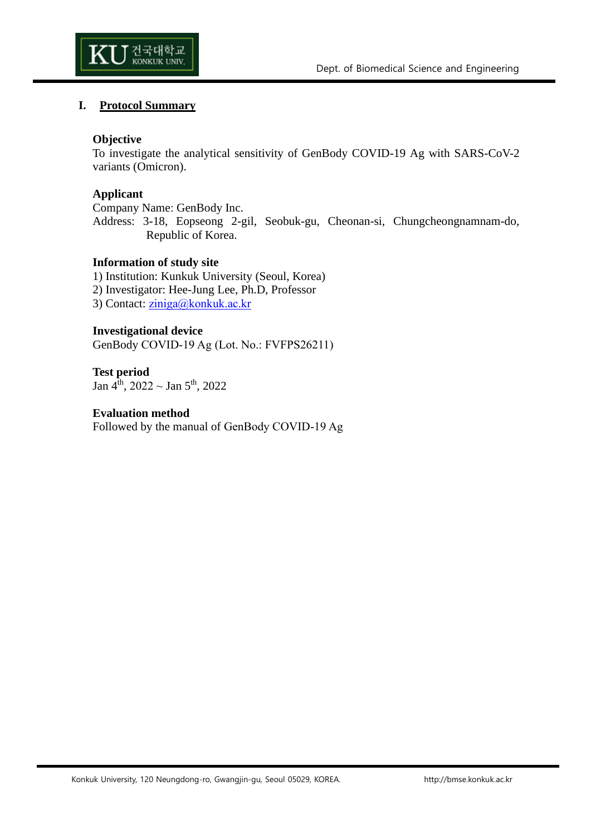

#### **I. Protocol Summary**

#### **Objective**

To investigate the analytical sensitivity of GenBody COVID-19 Ag with SARS-CoV-2 variants (Omicron).

#### **Applicant**

Company Name: GenBody Inc. Address: 3-18, Eopseong 2-gil, Seobuk-gu, Cheonan-si, Chungcheongnamnam-do, Republic of Korea.

#### **Information of study site**

1) Institution: Kunkuk University (Seoul, Korea) 2) Investigator: Hee-Jung Lee, Ph.D, Professor

3) Contact: [ziniga@konkuk.ac.kr](mailto:ziniga@konkuk.ac.kr)

#### **Investigational device**

GenBody COVID-19 Ag (Lot. No.: FVFPS26211)

**Test period** Jan  $4^{\text{th}}$ , 2022 ~ Jan  $5^{\text{th}}$ , 2022

#### **Evaluation method**

Followed by the manual of GenBody COVID-19 Ag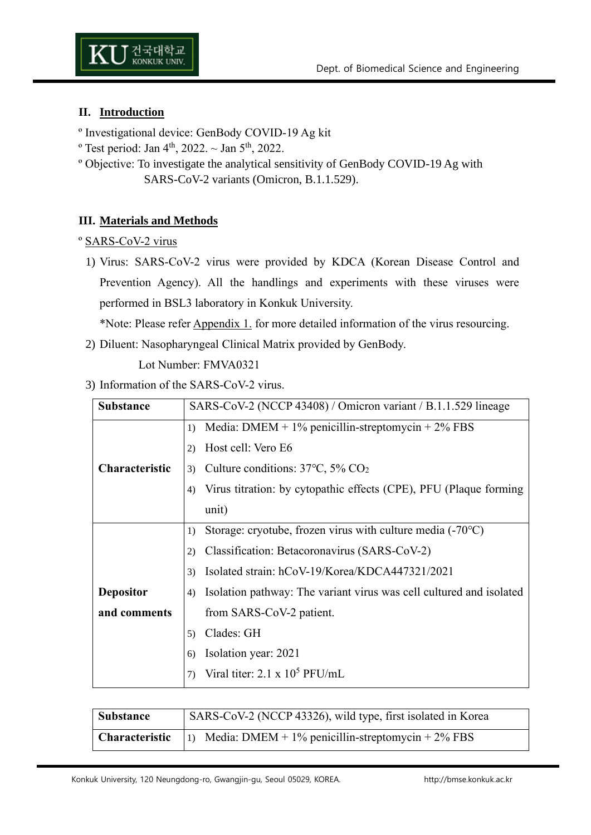

# **II. Introduction**

- º Investigational device: GenBody COVID-19 Ag kit
- <sup>o</sup> Test period: Jan 4<sup>th</sup>, 2022.  $\sim$  Jan 5<sup>th</sup>, 2022.
- º Objective: To investigate the analytical sensitivity of GenBody COVID-19 Ag with SARS-CoV-2 variants (Omicron, B.1.1.529).

#### **III. Materials and Methods**

#### º SARS-CoV-2 virus

1) Virus: SARS-CoV-2 virus were provided by KDCA (Korean Disease Control and Prevention Agency). All the handlings and experiments with these viruses were performed in BSL3 laboratory in Konkuk University.

\*Note: Please refer Appendix 1. for more detailed information of the virus resourcing.

2) Diluent: Nasopharyngeal Clinical Matrix provided by GenBody.

Lot Number: FMVA0321

#### 3) Information of the SARS-CoV-2 virus.

| <b>Substance</b>      | SARS-CoV-2 (NCCP 43408) / Omicron variant / B.1.1.529 lineage             |
|-----------------------|---------------------------------------------------------------------------|
|                       | Media: DMEM + $1\%$ penicillin-streptomycin + $2\%$ FBS<br>1)             |
|                       | Host cell: Vero E6<br>2)                                                  |
| <b>Characteristic</b> | Culture conditions: $37^{\circ}$ C, $5\%$ CO <sub>2</sub><br>3)           |
|                       | Virus titration: by cytopathic effects (CPE), PFU (Plaque forming<br>4)   |
|                       | unit)                                                                     |
|                       | Storage: cryotube, frozen virus with culture media $(-70^{\circ}C)$<br>1) |
|                       | Classification: Betacoronavirus (SARS-CoV-2)<br>2)                        |
|                       | Isolated strain: hCoV-19/Korea/KDCA447321/2021<br>3)                      |
| <b>Depositor</b>      | Isolation pathway: The variant virus was cell cultured and isolated<br>4) |
| and comments          | from SARS-CoV-2 patient.                                                  |
|                       | Clades: GH<br>5)                                                          |
|                       | Isolation year: 2021<br>6)                                                |
|                       | Viral titer: $2.1 \times 10^5$ PFU/mL                                     |

| <b>Substance</b> | SARS-CoV-2 (NCCP 43326), wild type, first isolated in Korea                 |
|------------------|-----------------------------------------------------------------------------|
|                  | <b>Characteristic</b>  1) Media: DMEM + 1% penicillin-streptomycin + 2% FBS |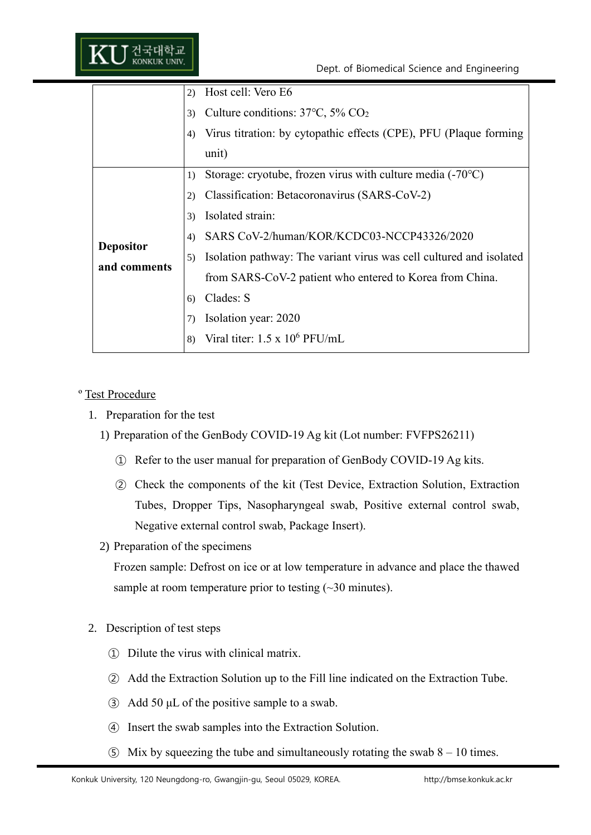|                                  | Host cell: Vero E6<br>2)<br>Culture conditions: $37^{\circ}$ C, $5\%$ CO <sub>2</sub><br>3)<br>Virus titration: by cytopathic effects (CPE), PFU (Plaque forming<br>4)<br>unit)                                                                                                                                                                                                                                                               |
|----------------------------------|-----------------------------------------------------------------------------------------------------------------------------------------------------------------------------------------------------------------------------------------------------------------------------------------------------------------------------------------------------------------------------------------------------------------------------------------------|
| <b>Depositor</b><br>and comments | Storage: cryotube, frozen virus with culture media (-70°C)<br>1)<br>Classification: Betacoronavirus (SARS-CoV-2)<br>2)<br>Isolated strain:<br>3)<br>SARS CoV-2/human/KOR/KCDC03-NCCP43326/2020<br>4)<br>Isolation pathway: The variant virus was cell cultured and isolated<br>5)<br>from SARS-CoV-2 patient who entered to Korea from China.<br>Clades: S<br>6)<br>Isolation year: 2020<br>7)<br>Viral titer: $1.5 \times 10^6$ PFU/mL<br>8) |

#### º Test Procedure

- 1. Preparation for the test
	- 1) Preparation of the GenBody COVID-19 Ag kit (Lot number: FVFPS26211)
		- ① Refer to the user manual for preparation of GenBody COVID-19 Ag kits.
		- ② Check the components of the kit (Test Device, Extraction Solution, Extraction Tubes, Dropper Tips, Nasopharyngeal swab, Positive external control swab, Negative external control swab, Package Insert).
	- 2) Preparation of the specimens

Frozen sample: Defrost on ice or at low temperature in advance and place the thawed sample at room temperature prior to testing (~30 minutes).

- 2. Description of test steps
	- ① Dilute the virus with clinical matrix.
	- ② Add the Extraction Solution up to the Fill line indicated on the Extraction Tube.
	- ③ Add 50 μL of the positive sample to a swab.
	- ④ Insert the swab samples into the Extraction Solution.
	- $\odot$  Mix by squeezing the tube and simultaneously rotating the swab 8 10 times.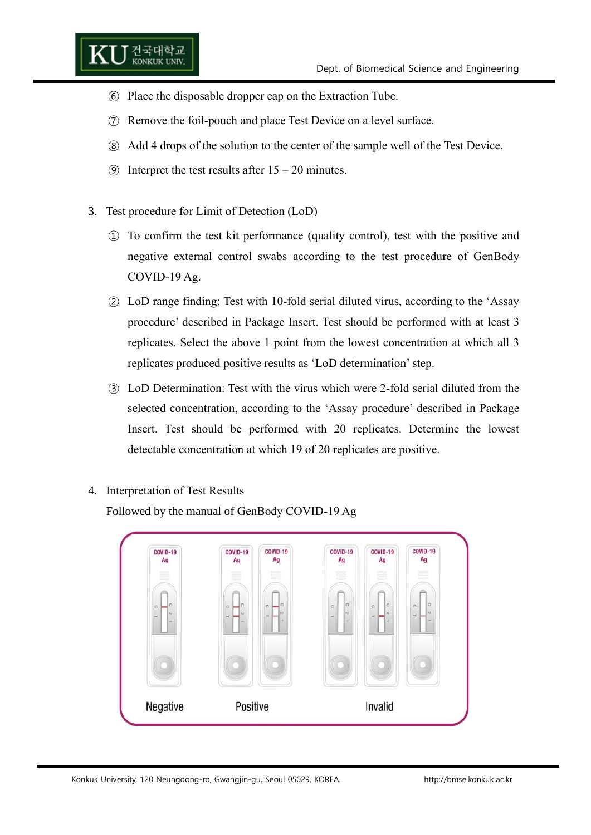- ⑥ Place the disposable dropper cap on the Extraction Tube.
- ⑦ Remove the foil-pouch and place Test Device on a level surface.
- ⑧ Add 4 drops of the solution to the center of the sample well of the Test Device.
- **(9)** Interpret the test results after  $15 20$  minutes.
- 3. Test procedure for Limit of Detection (LoD)

건국대학교<br>KONKUK UNIV.

- ① To confirm the test kit performance (quality control), test with the positive and negative external control swabs according to the test procedure of GenBody COVID-19 Ag.
- ② LoD range finding: Test with 10-fold serial diluted virus, according to the 'Assay procedure' described in Package Insert. Test should be performed with at least 3 replicates. Select the above 1 point from the lowest concentration at which all 3 replicates produced positive results as 'LoD determination' step.
- ③ LoD Determination: Test with the virus which were 2-fold serial diluted from the selected concentration, according to the 'Assay procedure' described in Package Insert. Test should be performed with 20 replicates. Determine the lowest detectable concentration at which 19 of 20 replicates are positive.
- 4. Interpretation of Test Results

Followed by the manual of GenBody COVID-19 Ag

| <b>COVID-19</b><br>Ag                                     | <b>COVID-19</b><br>Ag          | <b>COVID-19</b><br>Ag                             | <b>COVID-19</b><br>Ag                                          | <b>COVID-19</b><br>Ag              | COVID-19<br>Ag                                        |
|-----------------------------------------------------------|--------------------------------|---------------------------------------------------|----------------------------------------------------------------|------------------------------------|-------------------------------------------------------|
| ≣                                                         | 言                              | 言                                                 | $\equiv$<br>$=$                                                | m                                  | W                                                     |
| C)<br>$\circ$<br>$\sim$<br>$\rightarrow$<br>$\rightarrow$ | $\Omega$<br>$\circ$<br>A3<br>н | $\circ$<br>$\circ$<br>75<br>$\rightarrow$<br>ide. | $\circ$<br>$\circ$<br>$70 -$<br>$\rightarrow$<br>$\rightarrow$ | $\circ$<br>$\alpha$<br>$_{\rm N3}$ | lo.<br>$\circ$<br>N<br>$\rightarrow$<br>$\rightarrow$ |
|                                                           |                                |                                                   |                                                                |                                    |                                                       |
| Negative                                                  | Positive                       |                                                   |                                                                | Invalid                            |                                                       |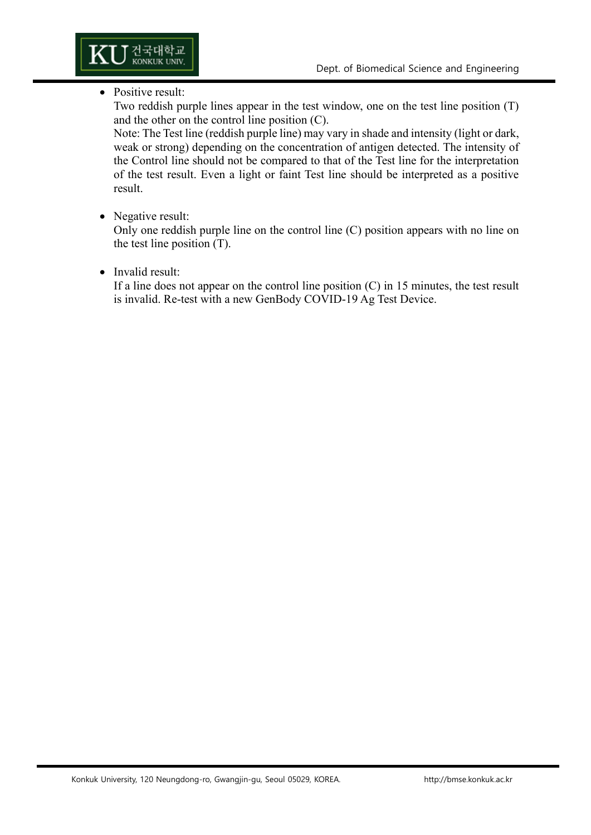

#### • Positive result:

Two reddish purple lines appear in the test window, one on the test line position (T) and the other on the control line position (C).

Note: The Test line (reddish purple line) may vary in shade and intensity (light or dark, weak or strong) depending on the concentration of antigen detected. The intensity of the Control line should not be compared to that of the Test line for the interpretation of the test result. Even a light or faint Test line should be interpreted as a positive result.

## • Negative result:

Only one reddish purple line on the control line (C) position appears with no line on the test line position (T).

#### • Invalid result:

If a line does not appear on the control line position  $(C)$  in 15 minutes, the test result is invalid. Re-test with a new GenBody COVID-19 Ag Test Device.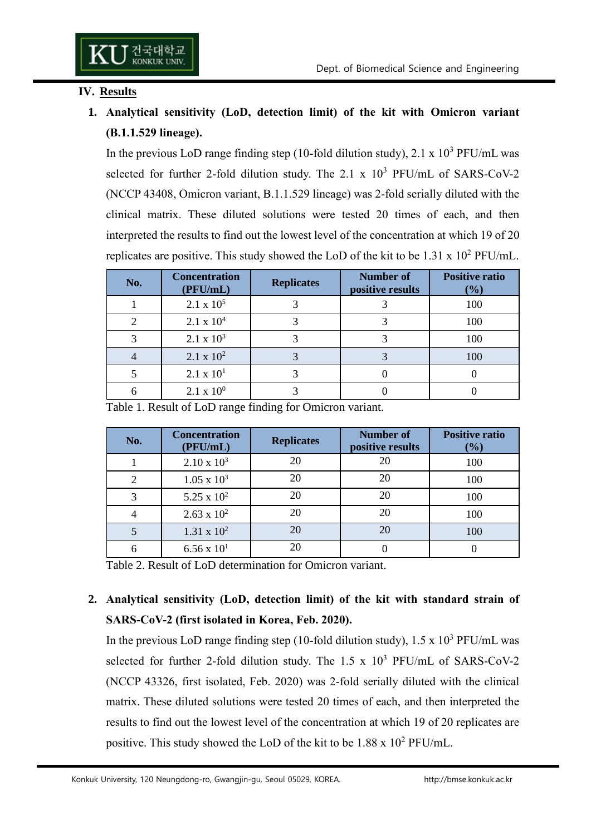#### **IV. Results**

# **1. Analytical sensitivity (LoD, detection limit) of the kit with Omicron variant (B.1.1.529 lineage).**

In the previous LoD range finding step (10-fold dilution study),  $2.1 \times 10^3$  PFU/mL was selected for further 2-fold dilution study. The  $2.1 \times 10^3$  PFU/mL of SARS-CoV-2 (NCCP 43408, Omicron variant, B.1.1.529 lineage) was 2-fold serially diluted with the clinical matrix. These diluted solutions were tested 20 times of each, and then interpreted the results to find out the lowest level of the concentration at which 19 of 20 replicates are positive. This study showed the LoD of the kit to be  $1.31 \times 10^2$  PFU/mL.

| No. | <b>Concentration</b><br>(PFU/mL) | <b>Replicates</b> | <b>Number of</b><br>positive results | <b>Positive ratio</b><br>$(\%)$ |
|-----|----------------------------------|-------------------|--------------------------------------|---------------------------------|
|     | $2.1 \times 10^5$                |                   |                                      | 100                             |
|     | $2.1 \times 10^{4}$              |                   |                                      | 100                             |
|     | $2.1 \times 10^3$                |                   |                                      | 100                             |
|     | $2.1 \times 10^{2}$              |                   |                                      | 100                             |
|     | $2.1 \times 10^{1}$              |                   |                                      |                                 |
|     | $2.1 \times 10^{0}$              |                   |                                      |                                 |

Table 1. Result of LoD range finding for Omicron variant.

| No. | <b>Concentration</b><br>(PFU/mL) | <b>Replicates</b> | <b>Number</b> of<br>positive results | <b>Positive ratio</b><br>$(\%)$ |
|-----|----------------------------------|-------------------|--------------------------------------|---------------------------------|
|     | $2.10 \times 10^3$               | 20                | 20                                   | 100                             |
|     | $1.05 \times 10^3$               | 20                | 20                                   | 100                             |
|     | $5.25 \times 10^{2}$             | 20                | 20                                   | 100                             |
|     | $2.63 \times 10^{2}$             | 20                | 20                                   | 100                             |
|     | $1.31 \times 10^{2}$             | 20                | 20                                   | 100                             |
|     | $6.56 \times 10^{1}$             | 20                |                                      |                                 |

Table 2. Result of LoD determination for Omicron variant.

# **2. Analytical sensitivity (LoD, detection limit) of the kit with standard strain of SARS-CoV-2 (first isolated in Korea, Feb. 2020).**

In the previous LoD range finding step (10-fold dilution study),  $1.5 \times 10^3$  PFU/mL was selected for further 2-fold dilution study. The  $1.5 \times 10^3$  PFU/mL of SARS-CoV-2 (NCCP 43326, first isolated, Feb. 2020) was 2-fold serially diluted with the clinical matrix. These diluted solutions were tested 20 times of each, and then interpreted the results to find out the lowest level of the concentration at which 19 of 20 replicates are positive. This study showed the LoD of the kit to be  $1.88 \times 10^2$  PFU/mL.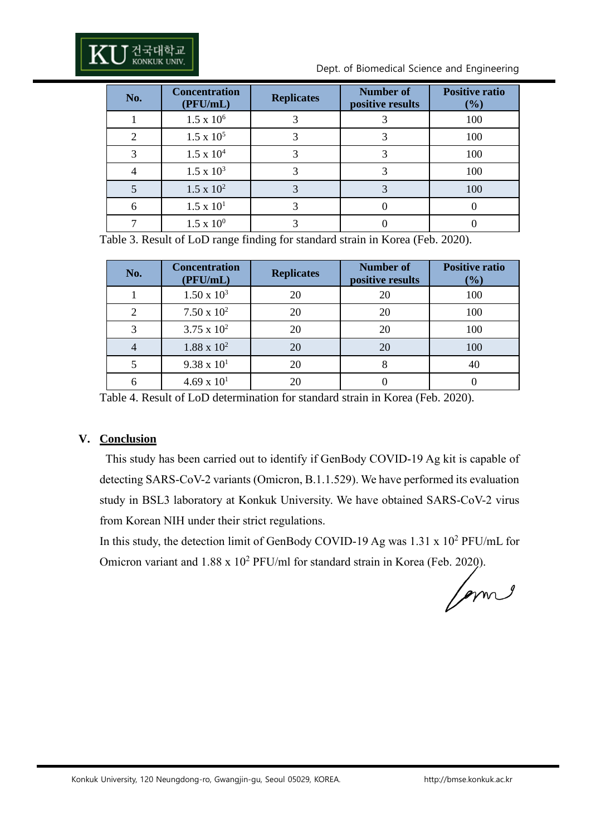Dept. of Biomedical Science and Engineering

| No. | <b>Concentration</b><br>(PFU/mL) | <b>Replicates</b> | <b>Number of</b><br>positive results | <b>Positive ratio</b><br>$(\%)$ |
|-----|----------------------------------|-------------------|--------------------------------------|---------------------------------|
|     | $1.5 \times 10^6$                |                   |                                      | 100                             |
| 2   | $1.5 \times 10^5$                |                   |                                      | 100                             |
|     | $1.5 \times 10^{4}$              |                   |                                      | 100                             |
|     | $1.5 \times 10^3$                |                   |                                      | 100                             |
|     | $1.5 \times 10^{2}$              | 3                 | 3                                    | 100                             |
|     | $1.5 \times 10^{1}$              |                   |                                      |                                 |
|     | $1.5 \times 10^{0}$              |                   |                                      |                                 |

Table 3. Result of LoD range finding for standard strain in Korea (Feb. 2020).

| No. | <b>Concentration</b><br>(PFU/mL) | <b>Replicates</b> | <b>Number of</b><br>positive results | <b>Positive ratio</b><br>(%) |
|-----|----------------------------------|-------------------|--------------------------------------|------------------------------|
|     | $1.50 \times 10^3$               | 20                | 20                                   | 100                          |
|     | $7.50 \times 10^{2}$             | 20                | 20                                   | 100                          |
|     | $3.75 \times 10^{2}$             | 20                | 20                                   | 100                          |
|     | $1.88 \times 10^{2}$             | 20                | 20                                   | 100                          |
|     | $9.38 \times 10^{1}$             | 20                | 8                                    | 40                           |
|     | $4.69 \times 10^{1}$             | 20                |                                      |                              |

Table 4. Result of LoD determination for standard strain in Korea (Feb. 2020).

## **V. Conclusion**

This study has been carried out to identify if GenBody COVID-19 Ag kit is capable of detecting SARS-CoV-2 variants (Omicron, B.1.1.529). We have performed its evaluation study in BSL3 laboratory at Konkuk University. We have obtained SARS-CoV-2 virus from Korean NIH under their strict regulations.

In this study, the detection limit of GenBody COVID-19 Ag was  $1.31 \times 10^2$  PFU/mL for Omicron variant and  $1.88 \times 10^2$  PFU/ml for standard strain in Korea (Feb. 2020).

forms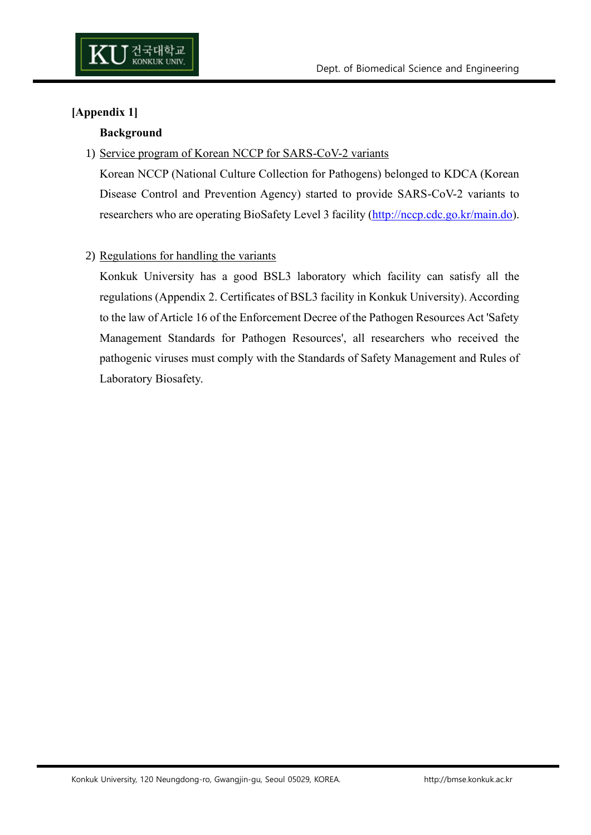

# **[Appendix 1]**

#### **Background**

#### 1) Service program of Korean NCCP for SARS-CoV-2 variants

Korean NCCP (National Culture Collection for Pathogens) belonged to KDCA (Korean Disease Control and Prevention Agency) started to provide SARS-CoV-2 variants to researchers who are operating BioSafety Level 3 facility [\(http://nccp.cdc.go.kr/main.do\)](http://nccp.cdc.go.kr/main.do).

## 2) Regulations for handling the variants

Konkuk University has a good BSL3 laboratory which facility can satisfy all the regulations (Appendix 2. Certificates of BSL3 facility in Konkuk University). According to the law of Article 16 of the Enforcement Decree of the Pathogen Resources Act 'Safety Management Standards for Pathogen Resources', all researchers who received the pathogenic viruses must comply with the Standards of Safety Management and Rules of Laboratory Biosafety.